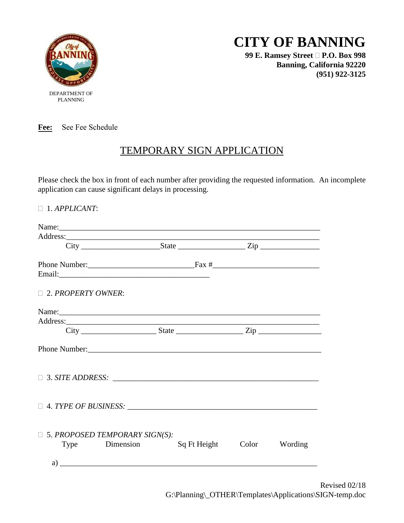

PLANNING

# **CITY OF BANNING**

**99 E. Ramsey Street P.O. Box 998 Banning, California 92220 (951) 922-3125**

**Fee:** See Fee Schedule

### TEMPORARY SIGN APPLICATION

Please check the box in front of each number after providing the requested information. An incomplete application can cause significant delays in processing.

|                                                         | $City$ $City$ $State$ $Zip$ |                            |  |
|---------------------------------------------------------|-----------------------------|----------------------------|--|
|                                                         |                             |                            |  |
|                                                         |                             |                            |  |
| $\Box$ 2. PROPERTY OWNER:                               |                             |                            |  |
|                                                         |                             |                            |  |
| Address:                                                |                             |                            |  |
|                                                         | $City$ $City$ $State$ $Zip$ |                            |  |
|                                                         |                             |                            |  |
|                                                         |                             |                            |  |
|                                                         |                             |                            |  |
| $\Box$ 5. PROPOSED TEMPORARY SIGN(S):<br>Type Dimension |                             | Sq Ft Height Color Wording |  |
|                                                         |                             |                            |  |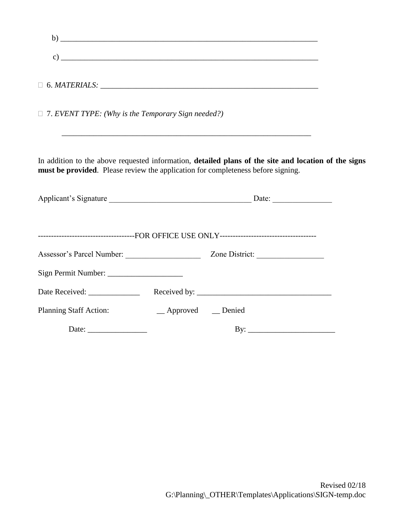|                                                                                                                                                                                          |                       | $\mathbf{b}$ ) |  |
|------------------------------------------------------------------------------------------------------------------------------------------------------------------------------------------|-----------------------|----------------|--|
|                                                                                                                                                                                          |                       |                |  |
|                                                                                                                                                                                          |                       |                |  |
| $\Box$ 7. EVENT TYPE: (Why is the Temporary Sign needed?)                                                                                                                                |                       |                |  |
| In addition to the above requested information, detailed plans of the site and location of the signs<br>must be provided. Please review the application for completeness before signing. |                       |                |  |
|                                                                                                                                                                                          |                       |                |  |
|                                                                                                                                                                                          |                       |                |  |
|                                                                                                                                                                                          |                       |                |  |
| Sign Permit Number:                                                                                                                                                                      |                       |                |  |
|                                                                                                                                                                                          |                       |                |  |
| <b>Planning Staff Action:</b>                                                                                                                                                            | __ Approved __ Denied |                |  |
|                                                                                                                                                                                          |                       |                |  |
|                                                                                                                                                                                          |                       |                |  |